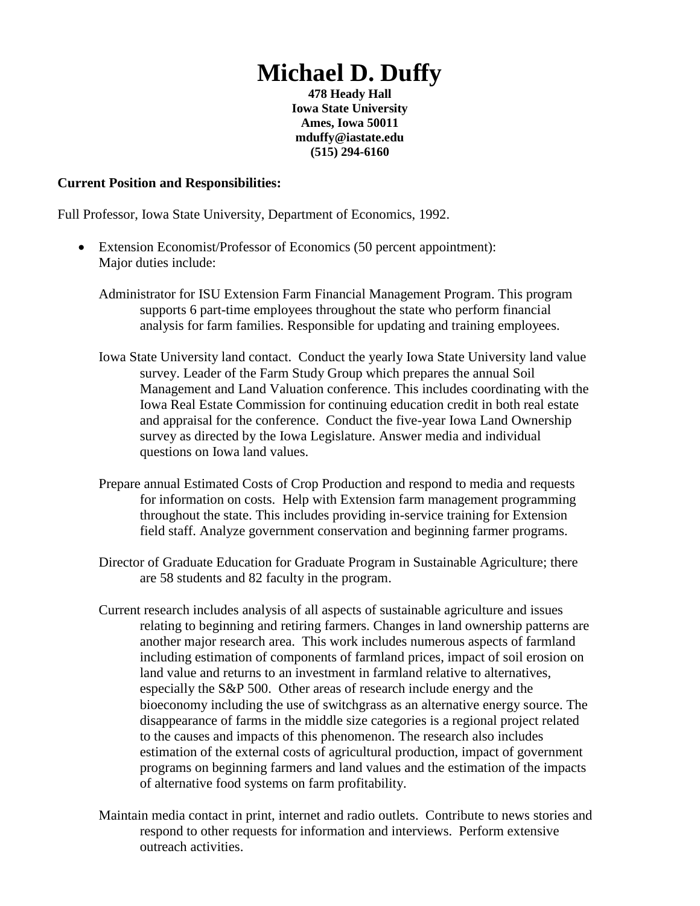# **Michael D. Duffy**

**478 Heady Hall Iowa State University Ames, Iowa 50011 mduffy@iastate.edu (515) 294-6160**

### **Current Position and Responsibilities:**

Full Professor, Iowa State University, Department of Economics, 1992.

- Extension Economist/Professor of Economics (50 percent appointment): Major duties include:
	- Administrator for ISU Extension Farm Financial Management Program. This program supports 6 part-time employees throughout the state who perform financial analysis for farm families. Responsible for updating and training employees.
	- Iowa State University land contact. Conduct the yearly Iowa State University land value survey. Leader of the Farm Study Group which prepares the annual Soil Management and Land Valuation conference. This includes coordinating with the Iowa Real Estate Commission for continuing education credit in both real estate and appraisal for the conference. Conduct the five-year Iowa Land Ownership survey as directed by the Iowa Legislature. Answer media and individual questions on Iowa land values.
	- Prepare annual Estimated Costs of Crop Production and respond to media and requests for information on costs. Help with Extension farm management programming throughout the state. This includes providing in-service training for Extension field staff. Analyze government conservation and beginning farmer programs.
	- Director of Graduate Education for Graduate Program in Sustainable Agriculture; there are 58 students and 82 faculty in the program.
	- Current research includes analysis of all aspects of sustainable agriculture and issues relating to beginning and retiring farmers. Changes in land ownership patterns are another major research area. This work includes numerous aspects of farmland including estimation of components of farmland prices, impact of soil erosion on land value and returns to an investment in farmland relative to alternatives, especially the S&P 500. Other areas of research include energy and the bioeconomy including the use of switchgrass as an alternative energy source. The disappearance of farms in the middle size categories is a regional project related to the causes and impacts of this phenomenon. The research also includes estimation of the external costs of agricultural production, impact of government programs on beginning farmers and land values and the estimation of the impacts of alternative food systems on farm profitability.
	- Maintain media contact in print, internet and radio outlets. Contribute to news stories and respond to other requests for information and interviews. Perform extensive outreach activities.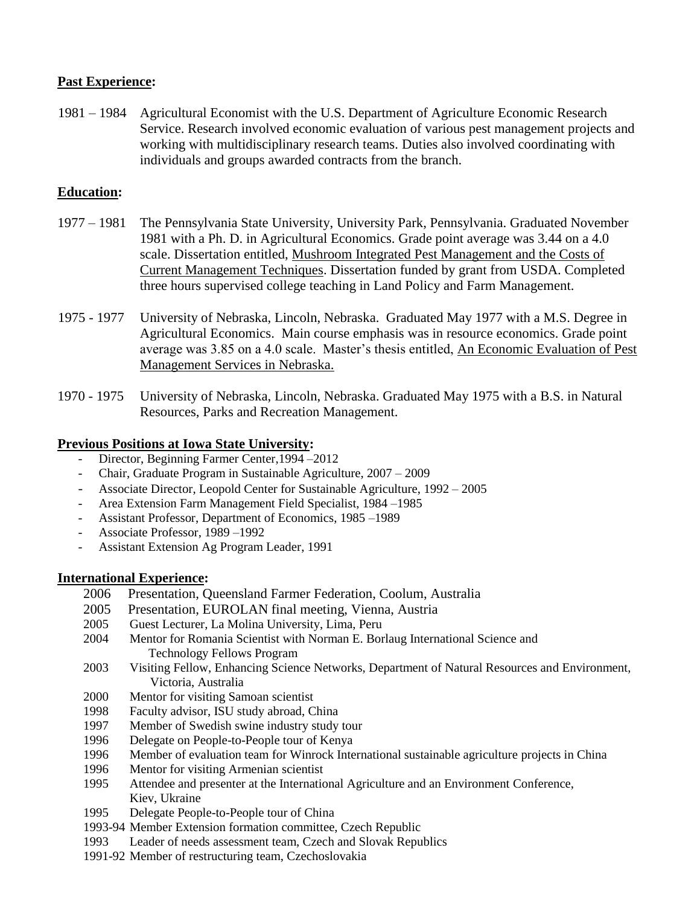# **Past Experience:**

 1981 – 1984 Agricultural Economist with the U.S. Department of Agriculture Economic Research Service. Research involved economic evaluation of various pest management projects and working with multidisciplinary research teams. Duties also involved coordinating with individuals and groups awarded contracts from the branch.

# **Education:**

- 1977 1981 The Pennsylvania State University, University Park, Pennsylvania. Graduated November 1981 with a Ph. D. in Agricultural Economics. Grade point average was 3.44 on a 4.0 scale. Dissertation entitled, Mushroom Integrated Pest Management and the Costs of Current Management Techniques. Dissertation funded by grant from USDA. Completed three hours supervised college teaching in Land Policy and Farm Management.
- 1975 1977 University of Nebraska, Lincoln, Nebraska. Graduated May 1977 with a M.S. Degree in Agricultural Economics. Main course emphasis was in resource economics. Grade point average was 3.85 on a 4.0 scale. Master's thesis entitled, An Economic Evaluation of Pest Management Services in Nebraska.
- 1970 1975 University of Nebraska, Lincoln, Nebraska. Graduated May 1975 with a B.S. in Natural Resources, Parks and Recreation Management.

### **Previous Positions at Iowa State University:**

- Director, Beginning Farmer Center, 1994 2012
- Chair, Graduate Program in Sustainable Agriculture, 2007 2009
- Associate Director, Leopold Center for Sustainable Agriculture, 1992 2005
- Area Extension Farm Management Field Specialist, 1984 –1985
- Assistant Professor, Department of Economics, 1985 –1989
- Associate Professor, 1989 –1992
- Assistant Extension Ag Program Leader, 1991

### **International Experience:**

- 2006 Presentation, Queensland Farmer Federation, Coolum, Australia
- 2005 Presentation, EUROLAN final meeting, Vienna, Austria
- 2005 Guest Lecturer, La Molina University, Lima, Peru
- 2004 Mentor for Romania Scientist with Norman E. Borlaug International Science and Technology Fellows Program
- 2003 Visiting Fellow, Enhancing Science Networks, Department of Natural Resources and Environment, Victoria, Australia
- 2000 Mentor for visiting Samoan scientist
- 1998 Faculty advisor, ISU study abroad, China
- 1997 Member of Swedish swine industry study tour
- 1996 Delegate on People-to-People tour of Kenya
- 1996 Member of evaluation team for Winrock International sustainable agriculture projects in China
- 1996 Mentor for visiting Armenian scientist
- 1995 Attendee and presenter at the International Agriculture and an Environment Conference, Kiev, Ukraine
- 1995 Delegate People-to-People tour of China
- 1993-94 Member Extension formation committee, Czech Republic
- 1993 Leader of needs assessment team, Czech and Slovak Republics
- 1991-92 Member of restructuring team, Czechoslovakia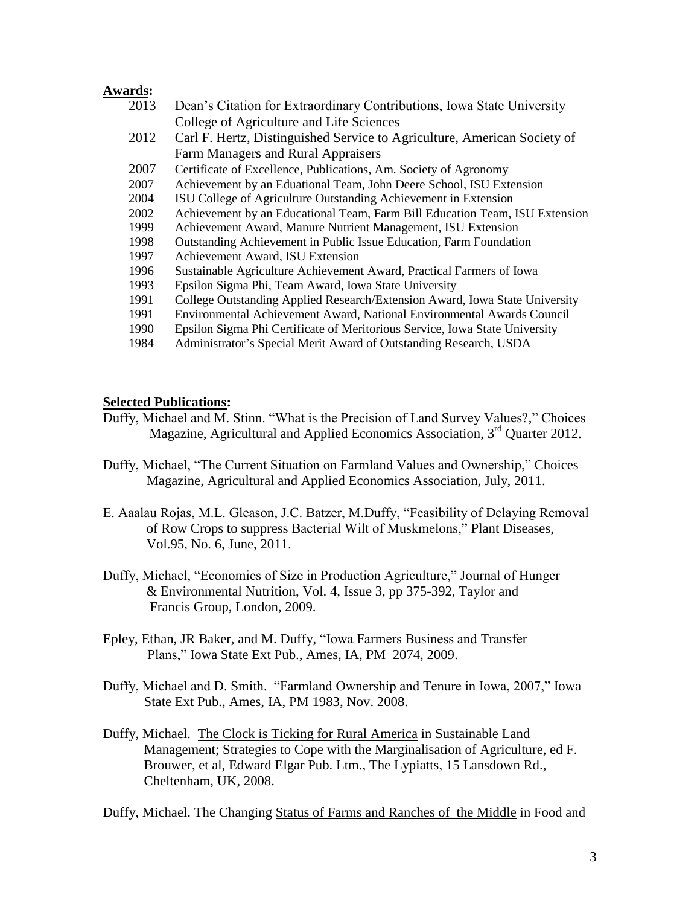### **Awards:**

- 2013 Dean's Citation for Extraordinary Contributions, Iowa State University College of Agriculture and Life Sciences
- 2012 Carl F. Hertz, Distinguished Service to Agriculture, American Society of Farm Managers and Rural Appraisers
- 2007 Certificate of Excellence, Publications, Am. Society of Agronomy
- 2007 Achievement by an Eduational Team, John Deere School, ISU Extension
- 2004 ISU College of Agriculture Outstanding Achievement in Extension
- 2002 Achievement by an Educational Team, Farm Bill Education Team, ISU Extension
- 1999 Achievement Award, Manure Nutrient Management, ISU Extension
- 1998 Outstanding Achievement in Public Issue Education, Farm Foundation
- 1997 Achievement Award, ISU Extension
- 1996 Sustainable Agriculture Achievement Award, Practical Farmers of Iowa
- 1993 Epsilon Sigma Phi, Team Award, Iowa State University
- 1991 College Outstanding Applied Research/Extension Award, Iowa State University
- 1991 Environmental Achievement Award, National Environmental Awards Council
- 1990 Epsilon Sigma Phi Certificate of Meritorious Service, Iowa State University
- 1984 Administrator's Special Merit Award of Outstanding Research, USDA

#### **Selected Publications:**

- Duffy, Michael and M. Stinn. "What is the Precision of Land Survey Values?," Choices Magazine, Agricultural and Applied Economics Association, 3<sup>rd</sup> Quarter 2012.
- Duffy, Michael, "The Current Situation on Farmland Values and Ownership," Choices Magazine, Agricultural and Applied Economics Association, July, 2011.
- E. Aaalau Rojas, M.L. Gleason, J.C. Batzer, M.Duffy, "Feasibility of Delaying Removal of Row Crops to suppress Bacterial Wilt of Muskmelons," Plant Diseases, Vol.95, No. 6, June, 2011.
- Duffy, Michael, "Economies of Size in Production Agriculture," Journal of Hunger & Environmental Nutrition, Vol. 4, Issue 3, pp 375-392, Taylor and Francis Group, London, 2009.
- Epley, Ethan, JR Baker, and M. Duffy, "Iowa Farmers Business and Transfer Plans," Iowa State Ext Pub., Ames, IA, PM 2074, 2009.
- Duffy, Michael and D. Smith. "Farmland Ownership and Tenure in Iowa, 2007," Iowa State Ext Pub., Ames, IA, PM 1983, Nov. 2008.
- Duffy, Michael. The Clock is Ticking for Rural America in Sustainable Land Management; Strategies to Cope with the Marginalisation of Agriculture, ed F. Brouwer, et al, Edward Elgar Pub. Ltm., The Lypiatts, 15 Lansdown Rd., Cheltenham, UK, 2008.

Duffy, Michael. The Changing Status of Farms and Ranches of the Middle in Food and